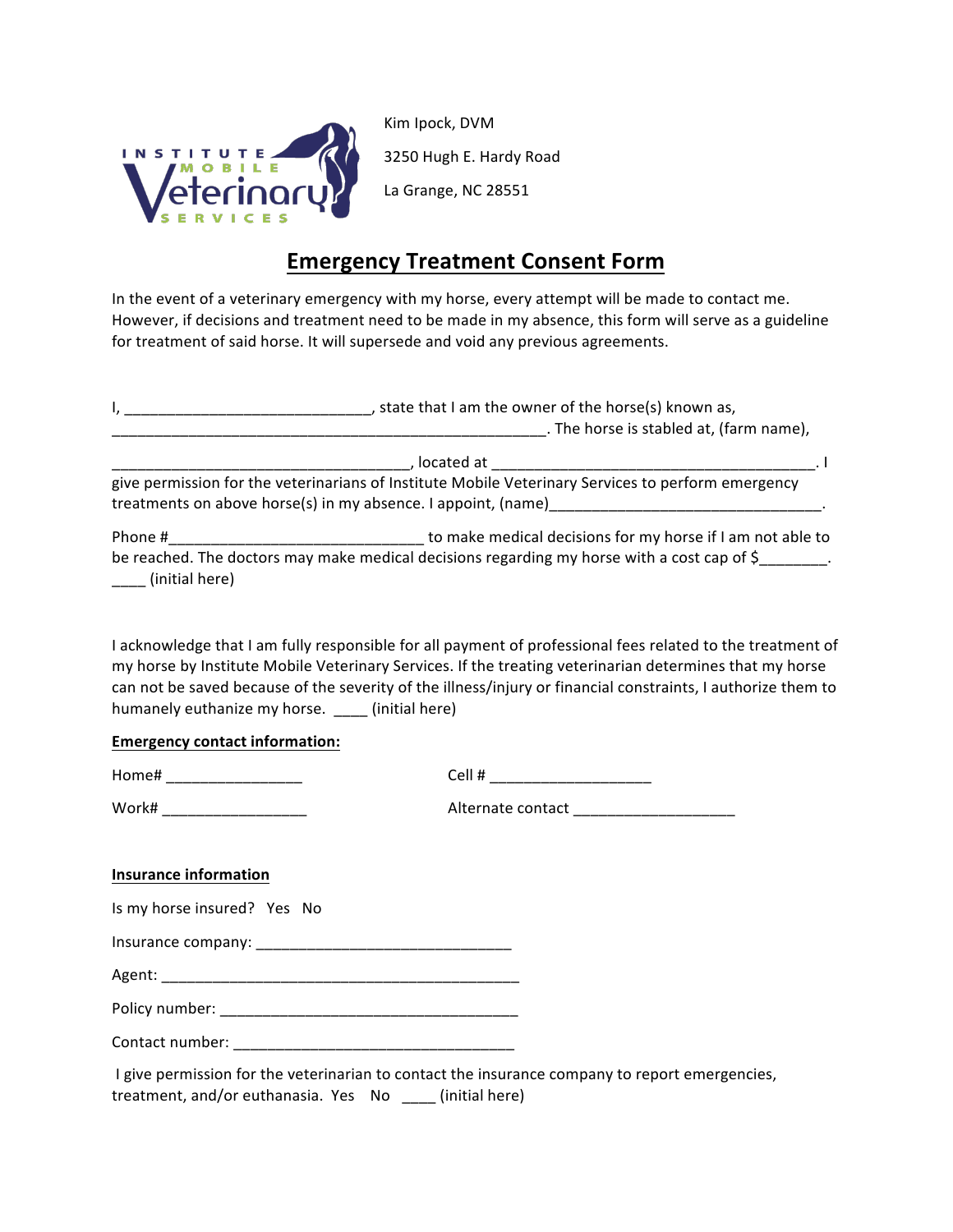

Kim Ipock, DVM 3250 Hugh E. Hardy Road La Grange, NC 28551

## **Emergency Treatment Consent Form**

In the event of a veterinary emergency with my horse, every attempt will be made to contact me. However, if decisions and treatment need to be made in my absence, this form will serve as a guideline for treatment of said horse. It will supersede and void any previous agreements.

|                                                         | I, ___________________________________, state that I am the owner of the horse(s) known as,                                                                                                                                                                                                                                           |
|---------------------------------------------------------|---------------------------------------------------------------------------------------------------------------------------------------------------------------------------------------------------------------------------------------------------------------------------------------------------------------------------------------|
|                                                         |                                                                                                                                                                                                                                                                                                                                       |
|                                                         | give permission for the veterinarians of Institute Mobile Veterinary Services to perform emergency                                                                                                                                                                                                                                    |
| (initial here)                                          | be reached. The doctors may make medical decisions regarding my horse with a cost cap of \$                                                                                                                                                                                                                                           |
| humanely euthanize my horse. ___ (initial here)         | I acknowledge that I am fully responsible for all payment of professional fees related to the treatment of<br>my horse by Institute Mobile Veterinary Services. If the treating veterinarian determines that my horse<br>can not be saved because of the severity of the illness/injury or financial constraints, I authorize them to |
| <b>Emergency contact information:</b>                   |                                                                                                                                                                                                                                                                                                                                       |
|                                                         | Cell # ________________________                                                                                                                                                                                                                                                                                                       |
| Work# ______________________                            | Alternate contact _______________________                                                                                                                                                                                                                                                                                             |
| <b>Insurance information</b>                            |                                                                                                                                                                                                                                                                                                                                       |
| Is my horse insured? Yes No                             |                                                                                                                                                                                                                                                                                                                                       |
|                                                         |                                                                                                                                                                                                                                                                                                                                       |
|                                                         |                                                                                                                                                                                                                                                                                                                                       |
|                                                         |                                                                                                                                                                                                                                                                                                                                       |
|                                                         |                                                                                                                                                                                                                                                                                                                                       |
| treatment, and/or euthanasia. Yes No ___ (initial here) | I give permission for the veterinarian to contact the insurance company to report emergencies,                                                                                                                                                                                                                                        |